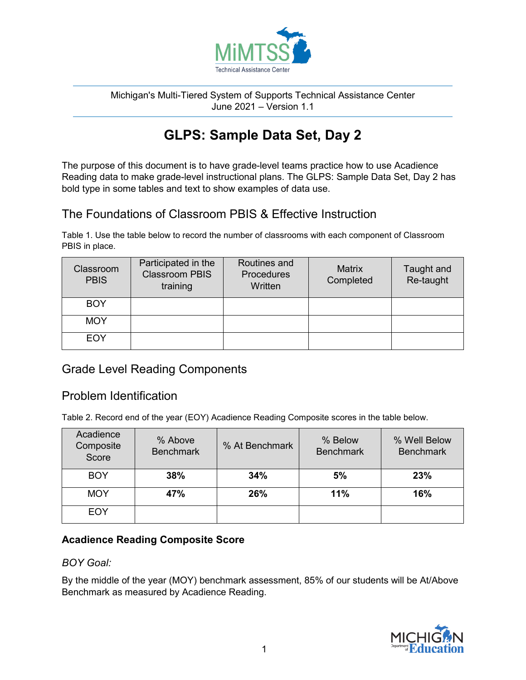

#### Michigan's Multi-Tiered System of Supports Technical Assistance Center June 2021 – Version 1.1

# **GLPS: Sample Data Set, Day 2**

The purpose of this document is to have grade-level teams practice how to use Acadience Reading data to make grade-level instructional plans. The GLPS: Sample Data Set, Day 2 has bold type in some tables and text to show examples of data use.

# The Foundations of Classroom PBIS & Effective Instruction

Table 1. Use the table below to record the number of classrooms with each component of Classroom PBIS in place.

| Classroom<br><b>PBIS</b> | Participated in the<br><b>Classroom PBIS</b><br>training | Routines and<br><b>Procedures</b><br>Written | <b>Matrix</b><br>Completed | Taught and<br>Re-taught |
|--------------------------|----------------------------------------------------------|----------------------------------------------|----------------------------|-------------------------|
| <b>BOY</b>               |                                                          |                                              |                            |                         |
| <b>MOY</b>               |                                                          |                                              |                            |                         |
| <b>EOY</b>               |                                                          |                                              |                            |                         |

# Grade Level Reading Components

# Problem Identification

Table 2. Record end of the year (EOY) Acadience Reading Composite scores in the table below.

| Acadience<br>Composite<br>Score | % Above<br><b>Benchmark</b> | % At Benchmark | % Below<br><b>Benchmark</b> | % Well Below<br><b>Benchmark</b> |
|---------------------------------|-----------------------------|----------------|-----------------------------|----------------------------------|
| <b>BOY</b>                      | 38%                         | 34%            | 5%                          | 23%                              |
| <b>MOY</b>                      | 47%                         | 26%            | 11%                         | 16%                              |
| EOY                             |                             |                |                             |                                  |

### **Acadience Reading Composite Score**

#### *BOY Goal:*

By the middle of the year (MOY) benchmark assessment, 85% of our students will be At/Above Benchmark as measured by Acadience Reading.

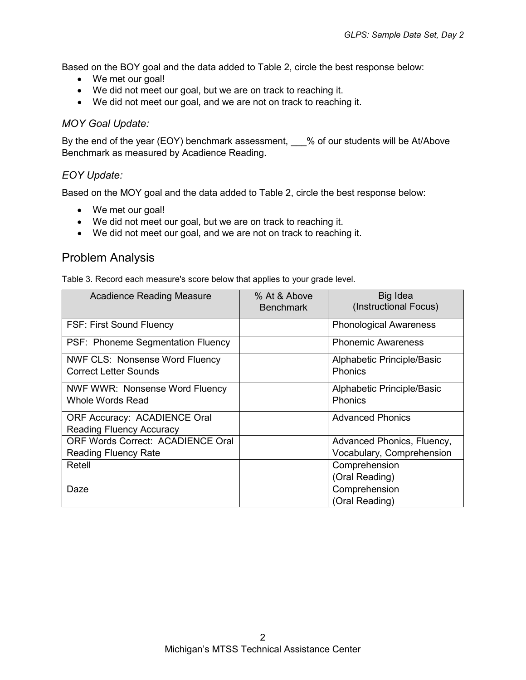Based on the BOY goal and the data added to Table 2, circle the best response below:

- We met our goal!
- We did not meet our goal, but we are on track to reaching it.
- We did not meet our goal, and we are not on track to reaching it.

#### *MOY Goal Update:*

By the end of the year (EOY) benchmark assessment, \_\_\_% of our students will be At/Above Benchmark as measured by Acadience Reading.

#### *EOY Update:*

Based on the MOY goal and the data added to Table 2, circle the best response below:

- We met our goal!
- We did not meet our goal, but we are on track to reaching it.
- We did not meet our goal, and we are not on track to reaching it.

# Problem Analysis

Table 3. Record each measure's score below that applies to your grade level.

| <b>Acadience Reading Measure</b>                                       | % At & Above<br><b>Benchmark</b> | Big Idea<br>(Instructional Focus)            |
|------------------------------------------------------------------------|----------------------------------|----------------------------------------------|
| <b>FSF: First Sound Fluency</b>                                        |                                  | <b>Phonological Awareness</b>                |
| PSF: Phoneme Segmentation Fluency                                      |                                  | <b>Phonemic Awareness</b>                    |
| <b>NWF CLS: Nonsense Word Fluency</b><br>Correct Letter Sounds         |                                  | Alphabetic Principle/Basic<br><b>Phonics</b> |
| <b>NWF WWR: Nonsense Word Fluency</b><br><b>Whole Words Read</b>       |                                  | Alphabetic Principle/Basic<br><b>Phonics</b> |
| <b>ORF Accuracy: ACADIENCE Oral</b><br><b>Reading Fluency Accuracy</b> |                                  | <b>Advanced Phonics</b>                      |
| <b>ORF Words Correct: ACADIENCE Oral</b>                               |                                  | Advanced Phonics, Fluency,                   |
| <b>Reading Fluency Rate</b>                                            |                                  | Vocabulary, Comprehension                    |
| Retell                                                                 |                                  | Comprehension                                |
|                                                                        |                                  | (Oral Reading)                               |
| Daze                                                                   |                                  | Comprehension                                |
|                                                                        |                                  | (Oral Reading)                               |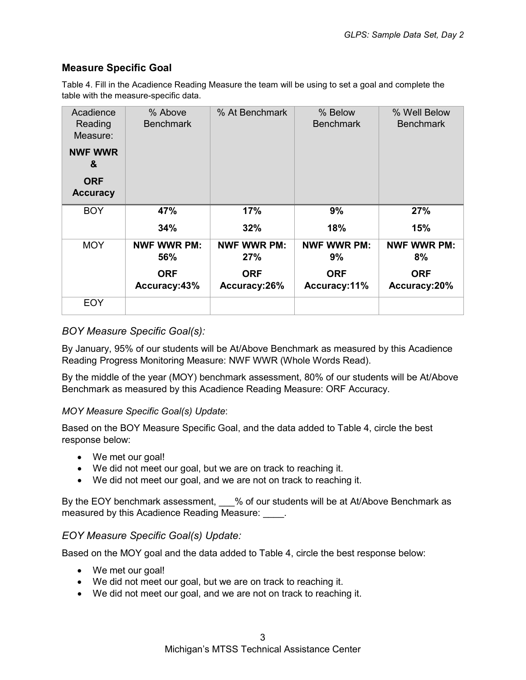### **Measure Specific Goal**

Table 4. Fill in the Acadience Reading Measure the team will be using to set a goal and complete the table with the measure-specific data.

| Acadience<br>Reading<br>Measure: | % Above<br><b>Benchmark</b>                             | % At Benchmark                                          | % Below<br><b>Benchmark</b>                            | % Well Below<br><b>Benchmark</b>                       |
|----------------------------------|---------------------------------------------------------|---------------------------------------------------------|--------------------------------------------------------|--------------------------------------------------------|
| <b>NWF WWR</b><br>&              |                                                         |                                                         |                                                        |                                                        |
| <b>ORF</b><br><b>Accuracy</b>    |                                                         |                                                         |                                                        |                                                        |
| <b>BOY</b>                       | 47%                                                     | 17%                                                     | 9%                                                     | 27%                                                    |
|                                  | 34%                                                     | 32%                                                     | 18%                                                    | 15%                                                    |
| <b>MOY</b>                       | <b>NWF WWR PM:</b><br>56%<br><b>ORF</b><br>Accuracy:43% | <b>NWF WWR PM:</b><br>27%<br><b>ORF</b><br>Accuracy:26% | <b>NWF WWR PM:</b><br>9%<br><b>ORF</b><br>Accuracy:11% | <b>NWF WWR PM:</b><br>8%<br><b>ORF</b><br>Accuracy:20% |
| <b>EOY</b>                       |                                                         |                                                         |                                                        |                                                        |

#### *BOY Measure Specific Goal(s):*

By January, 95% of our students will be At/Above Benchmark as measured by this Acadience Reading Progress Monitoring Measure: NWF WWR (Whole Words Read).

By the middle of the year (MOY) benchmark assessment, 80% of our students will be At/Above Benchmark as measured by this Acadience Reading Measure: ORF Accuracy.

#### *MOY Measure Specific Goal(s) Update*:

Based on the BOY Measure Specific Goal, and the data added to Table 4, circle the best response below:

- We met our goal!
- We did not meet our goal, but we are on track to reaching it.
- We did not meet our goal, and we are not on track to reaching it.

By the EOY benchmark assessment, % of our students will be at At/Above Benchmark as measured by this Acadience Reading Measure: \_\_\_\_.

#### *EOY Measure Specific Goal(s) Update:*

Based on the MOY goal and the data added to Table 4, circle the best response below:

- We met our goal!
- We did not meet our goal, but we are on track to reaching it.
- We did not meet our goal, and we are not on track to reaching it.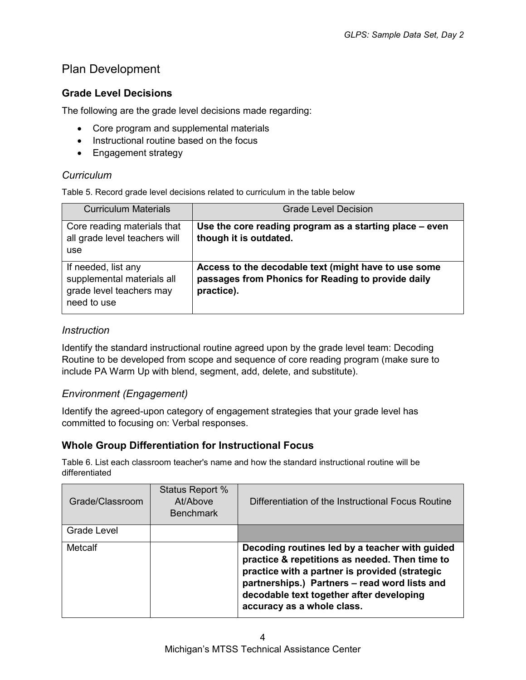# Plan Development

## **Grade Level Decisions**

The following are the grade level decisions made regarding:

- Core program and supplemental materials
- Instructional routine based on the focus
- Engagement strategy

### *Curriculum*

Table 5. Record grade level decisions related to curriculum in the table below

| <b>Curriculum Materials</b>                                                                  | <b>Grade Level Decision</b>                                                                                              |
|----------------------------------------------------------------------------------------------|--------------------------------------------------------------------------------------------------------------------------|
| Core reading materials that<br>all grade level teachers will<br>use                          | Use the core reading program as a starting place - even<br>though it is outdated.                                        |
| If needed, list any<br>supplemental materials all<br>grade level teachers may<br>need to use | Access to the decodable text (might have to use some<br>passages from Phonics for Reading to provide daily<br>practice). |

### *Instruction*

Identify the standard instructional routine agreed upon by the grade level team: Decoding Routine to be developed from scope and sequence of core reading program (make sure to include PA Warm Up with blend, segment, add, delete, and substitute).

#### *Environment (Engagement)*

Identify the agreed-upon category of engagement strategies that your grade level has committed to focusing on: Verbal responses.

### **Whole Group Differentiation for Instructional Focus**

Table 6. List each classroom teacher's name and how the standard instructional routine will be differentiated

| Grade/Classroom | Status Report %<br>At/Above<br><b>Benchmark</b> | Differentiation of the Instructional Focus Routine                                                                                                                                                                                                                            |
|-----------------|-------------------------------------------------|-------------------------------------------------------------------------------------------------------------------------------------------------------------------------------------------------------------------------------------------------------------------------------|
| Grade Level     |                                                 |                                                                                                                                                                                                                                                                               |
| <b>Metcalf</b>  |                                                 | Decoding routines led by a teacher with guided<br>practice & repetitions as needed. Then time to<br>practice with a partner is provided (strategic<br>partnerships.) Partners - read word lists and<br>decodable text together after developing<br>accuracy as a whole class. |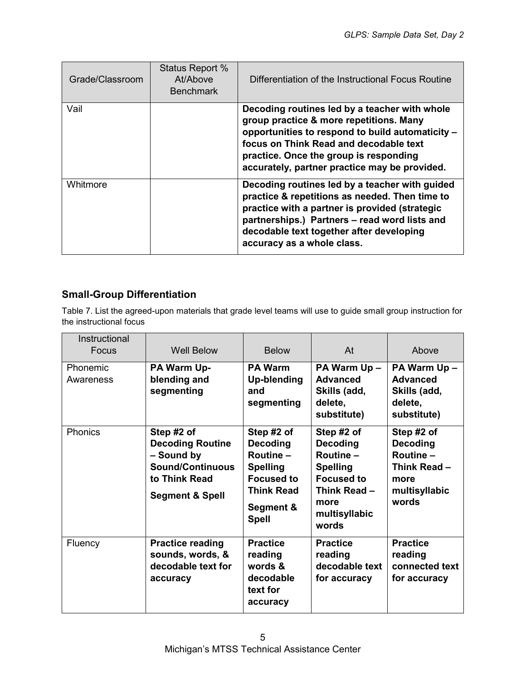| Grade/Classroom | Status Report %<br>At/Above<br><b>Benchmark</b> | Differentiation of the Instructional Focus Routine                                                                                                                                                                                                                                |
|-----------------|-------------------------------------------------|-----------------------------------------------------------------------------------------------------------------------------------------------------------------------------------------------------------------------------------------------------------------------------------|
| Vail            |                                                 | Decoding routines led by a teacher with whole<br>group practice & more repetitions. Many<br>opportunities to respond to build automaticity -<br>focus on Think Read and decodable text<br>practice. Once the group is responding<br>accurately, partner practice may be provided. |
| Whitmore        |                                                 | Decoding routines led by a teacher with guided<br>practice & repetitions as needed. Then time to<br>practice with a partner is provided (strategic<br>partnerships.) Partners - read word lists and<br>decodable text together after developing<br>accuracy as a whole class.     |

## **Small-Group Differentiation**

Table 7. List the agreed-upon materials that grade level teams will use to guide small group instruction for the instructional focus

| Instructional  |                                                                                                                               |                                                                                                                                      |                                                                                                                                     |                                                                                              |
|----------------|-------------------------------------------------------------------------------------------------------------------------------|--------------------------------------------------------------------------------------------------------------------------------------|-------------------------------------------------------------------------------------------------------------------------------------|----------------------------------------------------------------------------------------------|
| Focus          | <b>Well Below</b>                                                                                                             | <b>Below</b>                                                                                                                         | At                                                                                                                                  | Above                                                                                        |
| Phonemic       | PA Warm Up-                                                                                                                   | <b>PA Warm</b>                                                                                                                       | PA Warm Up -                                                                                                                        | PA Warm Up -                                                                                 |
| Awareness      | blending and<br>segmenting                                                                                                    | <b>Up-blending</b><br>and<br>segmenting                                                                                              | <b>Advanced</b><br>Skills (add,<br>delete,<br>substitute)                                                                           | <b>Advanced</b><br>Skills (add,<br>delete,<br>substitute)                                    |
| <b>Phonics</b> | Step #2 of<br><b>Decoding Routine</b><br>- Sound by<br><b>Sound/Continuous</b><br>to Think Read<br><b>Segment &amp; Spell</b> | Step #2 of<br><b>Decoding</b><br>Routine -<br><b>Spelling</b><br><b>Focused to</b><br><b>Think Read</b><br>Segment &<br><b>Spell</b> | Step #2 of<br><b>Decoding</b><br>Routine-<br><b>Spelling</b><br><b>Focused to</b><br>Think Read -<br>more<br>multisyllabic<br>words | Step #2 of<br>Decoding<br><b>Routine -</b><br>Think Read -<br>more<br>multisyllabic<br>words |
| Fluency        | <b>Practice reading</b><br>sounds, words, &<br>decodable text for<br>accuracy                                                 | <b>Practice</b><br>reading<br>words &<br>decodable<br>text for<br>accuracy                                                           | <b>Practice</b><br>reading<br>decodable text<br>for accuracy                                                                        | <b>Practice</b><br>reading<br>connected text<br>for accuracy                                 |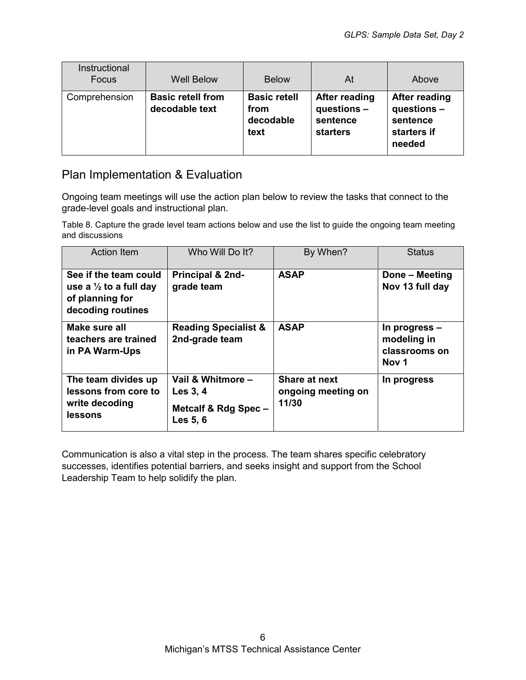| Instructional<br>Focus | <b>Well Below</b>                          | <b>Below</b>                                     | At                                                          | Above                                                             |
|------------------------|--------------------------------------------|--------------------------------------------------|-------------------------------------------------------------|-------------------------------------------------------------------|
| Comprehension          | <b>Basic retell from</b><br>decodable text | <b>Basic retell</b><br>from<br>decodable<br>text | After reading<br>questions -<br>sentence<br><b>starters</b> | After reading<br>questions -<br>sentence<br>starters if<br>needed |

# Plan Implementation & Evaluation

Ongoing team meetings will use the action plan below to review the tasks that connect to the grade-level goals and instructional plan.

Table 8. Capture the grade level team actions below and use the list to guide the ongoing team meeting and discussions

| <b>Action Item</b>                                                                                 | Who Will Do It?                                                   | By When?                                            | <b>Status</b>                                                     |
|----------------------------------------------------------------------------------------------------|-------------------------------------------------------------------|-----------------------------------------------------|-------------------------------------------------------------------|
| See if the team could<br>use a $\frac{1}{2}$ to a full day<br>of planning for<br>decoding routines | Principal & 2nd-<br>grade team                                    | <b>ASAP</b>                                         | Done - Meeting<br>Nov 13 full day                                 |
| Make sure all<br>teachers are trained<br>in PA Warm-Ups                                            | <b>Reading Specialist &amp;</b><br>2nd-grade team                 | <b>ASAP</b>                                         | In progress –<br>modeling in<br>classrooms on<br>Nov <sub>1</sub> |
| The team divides up<br>lessons from core to<br>write decoding<br>lessons                           | Vail & Whitmore -<br>Les 3, 4<br>Metcalf & Rdg Spec -<br>Les 5, 6 | <b>Share at next</b><br>ongoing meeting on<br>11/30 | In progress                                                       |

Communication is also a vital step in the process. The team shares specific celebratory successes, identifies potential barriers, and seeks insight and support from the School Leadership Team to help solidify the plan.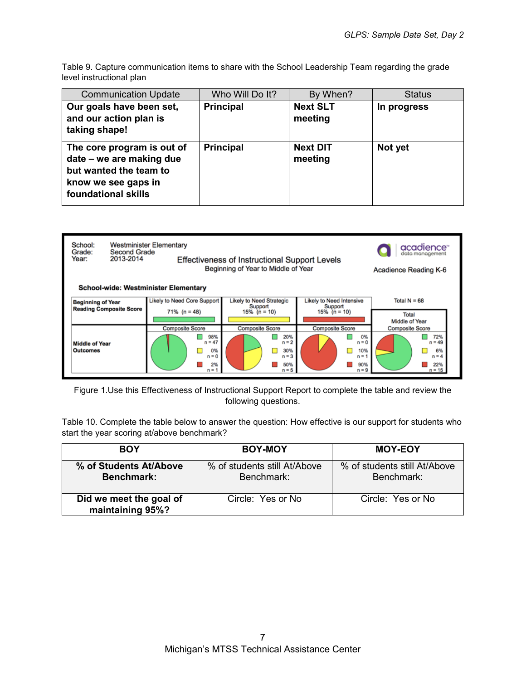Table 9. Capture communication items to share with the School Leadership Team regarding the grade level instructional plan

| <b>Communication Update</b>                                                                                                    | Who Will Do It?  | By When?                   | <b>Status</b> |
|--------------------------------------------------------------------------------------------------------------------------------|------------------|----------------------------|---------------|
| Our goals have been set,<br>and our action plan is<br>taking shape!                                                            | <b>Principal</b> | <b>Next SLT</b><br>meeting | In progress   |
| The core program is out of<br>date – we are making due<br>but wanted the team to<br>know we see gaps in<br>foundational skills | <b>Principal</b> | <b>Next DIT</b><br>meeting | Not yet       |



Figure 1.Use this Effectiveness of Instructional Support Report to complete the table and review the following questions.

Table 10. Complete the table below to answer the question: How effective is our support for students who start the year scoring at/above benchmark?

| <b>BOY</b>                                  | BOY-MOY                                    | <b>MOY-EOY</b>                             |
|---------------------------------------------|--------------------------------------------|--------------------------------------------|
| % of Students At/Above<br><b>Benchmark:</b> | % of students still At/Above<br>Benchmark: | % of students still At/Above<br>Benchmark: |
| Did we meet the goal of<br>maintaining 95%? | Circle: Yes or No                          | Circle: Yes or No                          |